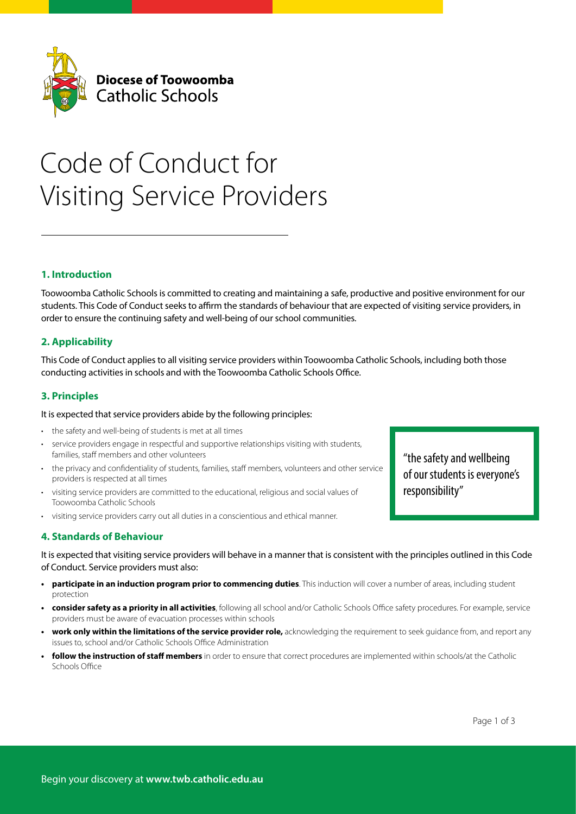

# Code of Conduct for Visiting Service Providers

# **1. Introduction**

Toowoomba Catholic Schools is committed to creating and maintaining a safe, productive and positive environment for our students. This Code of Conduct seeks to affirm the standards of behaviour that are expected of visiting service providers, in order to ensure the continuing safety and well-being of our school communities.

## **2. Applicability**

This Code of Conduct applies to all visiting service providers within Toowoomba Catholic Schools, including both those conducting activities in schools and with the Toowoomba Catholic Schools Office.

## **3. Principles**

#### It is expected that service providers abide by the following principles:

- the safety and well-being of students is met at all times
- service providers engage in respectful and supportive relationships visiting with students, families, staff members and other volunteers
- the privacy and confidentiality of students, families, staff members, volunteers and other service providers is respected at all times
- visiting service providers are committed to the educational, religious and social values of Toowoomba Catholic Schools
- visiting service providers carry out all duties in a conscientious and ethical manner.

## **4. Standards of Behaviour**

It is expected that visiting service providers will behave in a manner that is consistent with the principles outlined in this Code of Conduct. Service providers must also:

- **• participate in an induction program prior to commencing duties**. This induction will cover a number of areas, including student protection
- **• consider safety as a priority in all activities**, following all school and/or Catholic Schools Office safety procedures. For example, service providers must be aware of evacuation processes within schools
- **work only within the limitations of the service provider role, acknowledging the requirement to seek quidance from, and report any** issues to, school and/or Catholic Schools Office Administration
- **• follow the instruction of staff members** in order to ensure that correct procedures are implemented within schools/at the Catholic Schools Office

"the safety and wellbeing of our students is everyone's responsibility"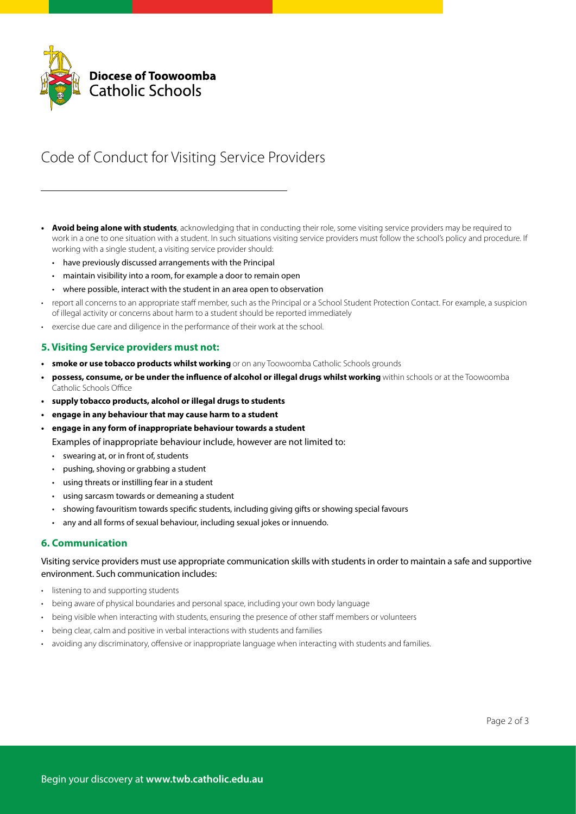

# Code of Conduct for Visiting Service Providers

- **• Avoid being alone with students**, acknowledging that in conducting their role, some visiting service providers may be required to work in a one to one situation with a student. In such situations visiting service providers must follow the school's policy and procedure. If working with a single student, a visiting service provider should:
	- have previously discussed arrangements with the Principal
	- maintain visibility into a room, for example a door to remain open
	- where possible, interact with the student in an area open to observation
- report all concerns to an appropriate staff member, such as the Principal or a School Student Protection Contact. For example, a suspicion of illegal activity or concerns about harm to a student should be reported immediately
- exercise due care and diligence in the performance of their work at the school.

#### **5. Visiting Service providers must not:**

- **•** smoke or use tobacco products whilst working or on any Toowoomba Catholic Schools grounds
- **• possess, consume, or be under the influence of alcohol or illegal drugs whilst working** within schools or at the Toowoomba Catholic Schools Office
- **• supply tobacco products, alcohol or illegal drugs to students**
- **• engage in any behaviour that may cause harm to a student**
- **• engage in any form of inappropriate behaviour towards a student**

Examples of inappropriate behaviour include, however are not limited to:

- swearing at, or in front of, students
- pushing, shoving or grabbing a student
- using threats or instilling fear in a student
- using sarcasm towards or demeaning a student
- showing favouritism towards specific students, including giving gifts or showing special favours
- any and all forms of sexual behaviour, including sexual jokes or innuendo.

#### **6. Communication**

Visiting service providers must use appropriate communication skills with students in order to maintain a safe and supportive environment. Such communication includes:

- listening to and supporting students
- being aware of physical boundaries and personal space, including your own body language
- being visible when interacting with students, ensuring the presence of other staff members or volunteers
- being clear, calm and positive in verbal interactions with students and families
- avoiding any discriminatory, offensive or inappropriate language when interacting with students and families.